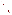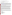**AGENCY:** ENVIRONMENTAL PROTECTION AGENCY (EPA)

#### **TITLE:** "**ENGINEERING EXCELLENCE THROUGH HYBRID TECHNOLOGY**"

**ACTION:** Request for Applications (RFA)

**RFA NO:** OAR-OTAQ-08-09

## **CATALOG OF FEDERAL DOMESTIC ASSISTANCE (CFDA) NO.: 66.034**

**DATES:** The closing date and time for receipt of hard copy applications is **December 15, 2008**, **4:00 p.m.,**  Eastern Standard Time (EST). All hard copies of application packages must be received by Kimberly Derksen by **December 15, 2008**, **4:00 p.m.** EST in order to be considered for funding. Electronic submissions must be submitted via http://www.grants.gov/ by **December 15, 2008, 11:59 p.m., EST**. All applications, however transmitted, must be received in the Program Office by the closing date and time to receive consideration.

*To allow for efficient management of the competitive process, EPA requests eligible organizations submit an informal notice of "Intent to Apply" by November 21, 2008. Submission of an "Intent to Apply" is optional; it is a process management tool that will allow EPA to better anticipate the total staff time required for efficient review, evaluation, and selection of submitted proposals.* 

**SUMMARY:** EPA is seeking applications from eligible entities to collaborate with EPA in studies and or investigation projects in support of EPA's Clean Automotive Technology Program. These pilot projects will require using state of the art experimental techniques in advanced engine development technology, including hydraulic hybrid drive-trains, to optimize Hydraulic Hybrid Vehicle (HHV) technology, unique clean and efficient engines for full-series hybrid vehicles and clean low-greenhouse gas transportation fuels while improving the fuel efficiency of highway vehicles in achieving its' mission meeting today's Clean Air Act standards and establishing the building blocks for future environmental and economic benefits.

Eligible entities with experience applying these investigative techniques that have achieved positive outcomes in increasing fuel efficiency and reducing emissions in hybrid vehicles to continue improving and demonstrating advanced hydraulic hybrid vehicle technology to meet Clean Air Act (CAA) emission standards and climate program goals are encouraged to apply. While the basis of this opportunity solicits support encompassing programmatic goals, it also includes the Merit Based PhD Program of Excellence where qualifying graduate students are provided the opportunity to conduct their program research in Partnership with the US EPA at its Ann Arbor National Laboratory which specializes in these fields of research.

**FUNDING/AWARDS:** The total estimated funding for this competitive opportunity shall not exceed \$1,350,000. EPA anticipates award of approximately two to five cooperative agreements, whose annual value shall not exceed \$450,000. The cooperative agreements will be funded incrementally. Additional funds may be added in each subsequent year of the agreement, subject to satisfactory performance and the availability of funds.

# **Contents by Section**

- I. Funding Opportunity Description
- II. Award Information
- III. Eligibility Information
- IV. Application and Submission Information
- V. Application Review Information
- VI. Award Administration Information
- VII. Agency Contacts
- VIII. Other Information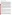## **SECTION I – FUNDING OPPORTUNITY DESCRIPTION**

#### **A. Background**

For over 25 years, EPA's National Vehicle & Fuel Emissions Laboratory, a part of EPA's Office of Transportation and Air Quality (OTAQ), has led efforts to develop vehicles for future fuels that are clean, efficient, and affordable. Improving fuel efficiency offers a wide range of societal benefits such as lowering consumers' fuel expenditures, reducing US dependence on imported foreign oil, conserving capital for the US domestic economy, and reducing emissions of carbon dioxide, the most prevalent greenhouse gas. Understanding hydraulic hybrid vehicle technology is essential to reaching the goal of improving fuel efficiency and reducing greenhouse gas emissions. EPA's Clean Automotive Technology Program is leading the way towards development of hydraulic hybrid vehicles as a technology pathway that offers practical and costeffective fuel efficiency improvements. EPA began its development of hydraulic hybrid vehicles in the mid-1990s with the goal of optimizing hydraulic components for highway vehicle applications. EPA has successfully demonstrated the viability of hydraulic hybrid vehicle technology for highway vehicle applications and is recognized as a world leader. EPA currently has cooperative research and development agreements (CRADAs) with private corporations - Ford Motor Company, Eaton Corporation, Parker-Hannifin, Navistar, and BorgWarner – with the goal of transferring this technology to the private sector for commercialization.

This project will relate to EPA's involvement with the Clean Automotive Technology Program as the investigation will require using state of the art experimental techniques in advanced engine development technology, including hydraulic hybrid drive-trains, to optimize Hydraulic Hybrid Vehicle (HHV) technology, unique clean and efficient engines for full-series hybrid vehicles and clean low-greenhouse gas transportation fuels while improving the fuel efficiency of highway vehicles. There are many areas where the identification of technical barriers and analysis of strategies to overcome those barriers could make hydraulic hybrids, their clean engines and alternative fuels more practical and cost effective. Some of the technologies being investigated include Plug-in Electric-Hydraulic Hybrids, Human Hydraulic Hybrids, hybrid drive-trains, small but highly-efficiency expansion turbines (e.g., steam turbines); high-efficiency, low-cost engines for full-series hybrid vehicle such as free-piston engines, high-efficiency gasoline (e.g. HCCI) combustion, low heat rejection engines with integrated exhaust waste-heat energy recovery systems targeted at 60+ percent thermal efficiency, and efficient use of alternative fuels.

### **B. Scope of Work**

EPA's Clean Automotive Technology ("CAT") program is soliciting applications from eligible entities to collaborate with EPA in pilot projects to further optimize Hydraulic Hybrid Vehicle (HHV) technology, unique clean and efficient engines for full-series hybrid vehicles and clean lower greenhouse gas transportation fuels; as well as to increase graduate engineering human capital by supporting outstanding graduate students working in these areas.

 alternative fuels more practical and cost effective. This investigative project will require using state of the art experimental techniques in advanced engine development technology, including hydraulic hybrid drive-trains, to optimize Hydraulic Hybrid Vehicle (HHV) technology, unique clean and efficient engines for full-series hybrid vehicles and clean low-greenhouse gas transportation fuels while improving the fuel efficiency of highway vehicles. There are many areas where graduate student research into technical improvements could make hydraulic hybrids, their clean engines and

### **Project Details**

**1.** EPA's CAT program is interested in partnership(s) with one or more eligible entities to expand the fundamental scientific\engineering understanding and increase the undergraduate and graduate engineering human capital in areas of interest to the program. The partnership(s) will support outstanding graduate students performing studies and research in the fields of: (1) advanced/cost effective HHV technologies, (2) advanced clean, ultra-efficient and cost-effective engine/systems, (3) cost-effective and clean, renewable (or lower greenhouse gas (GHG) alternative) transportation fuels, in order to identify barriers to technological innovation and analyze innovative strategies to overcome these barriers. Establishing a merit-based process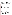for identifying qualified graduate students who would be provided the opportunity to conduct their program research in partnership with the U.S. EPA at its Ann Arbor National Laboratory which specializes in these fields of research is an essential element for this objective.

It is anticipated that up to 5 (or more) "Merit Based PhD Program of Excellence Graduate Scholars" will be supported in the above listed research fields per year.

**2.** As demonstrated by the CAT program's history of technological innovation and through EPA's study of all the transportation technologies that can be applied to reduce the environmental impact of societies transportation requirements, EPA's Office of Transportation and Air Quality has identified the following technical areas as particularly worthy of additional attention. Applicants should consider one or more of these project categories to investigate; however, we will consider independent suggestions regarding other areas worthy of further investigation.

EPA has determined the following as high priority specific technology projects:

- **a. Plug-in electric-hydraulic hybrids.** This area of investigation would require performance investigation of electric vehicle efficiency and synthesizing hybrid technology to optimize overall vehicle efficiency.
- **b. Human-hydraulic hybrids**. Human-powered vehicles, such as rickshaws, are used in many regions as a mode of basic transport. If these vehicles were constructed to be less difficult to propel, through leveling load requirements with a hydraulic hybrid energy storage device, demand for fossil-fuel vehicles would decrease.
- **c. Small (e.g., 10-50 kw) but high-efficiency expansion turbines (e.g., steam turbines).** This area of investigation would require efficiency optimization of small turbines.
- **d. Gasification of organics leading to synthesis of methanol, DME and potentially Fischer-Tropsch automotive fuels.** For the efficient use of alternative fuels to have an impact, there must be an efficient and reliable process for the production of these alternative fuels. This project will involve developing a gasification process for organics, leading to synthesis of methanol, DME and potentially Fischer-Tropsch automotive fuels.
- **e. Genetically engineered bacteria/enzymes that can convert organic materials to methanol costeffectively.** Similar to the gasification research, this project investigates the use of bacteria or enzymes to create methanol for fuel usage.
- **f. Innovative aerodynamic improvement pathways for commercial and personal vehicles.** For personal and especially commercial series hybrid vehicles, engines are sized to provide required power during high-speed driving. One area of substantial potential efficiency benefit is decreasing the vehicle's aerodynamic resistance at highway speeds.
- **exhaust waste-heat energy recovery systems targeted at 60+ percent thermal efficiency.** The **g. High-efficiency, low-cost engines for full-series hybrid vehicles such as free-piston engines, high-efficiency gasoline (e.g. HCCI) combustion, low heat rejection engines with integrated**  design of hybrid series hydraulic vehicles greatly modifies the demands on engine performance compared to traditional vehicles. The change produces an opportunity for innovative engine designs to increase overall vehicle efficiency.

Other project categories EPA is interested in include, but are not limited to, the following:

**Low-permeation accumulator fluids and bladders (specifically bladders or gas-oil separation in general).** Current state-of-the-art materials used for accumulator bladders are subject to rates of gas permeation which, over long periods of time, can lower system effectiveness and possibly require "re-charging" of the charge gas, resulting in an added maintenance cost. This area would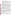involve a fundamental investigation and development of alternative (bladder or gas-oil separation) materials leading to the goal of essentially zero long-term permeation.

- **Filtration/de-aeration of hydraulic oil.** Gas permeation may lead to the presence of dissolved gas in the hydraulic fluid, which decreases its effectiveness and poses engineering difficulties. Also, "dry sump" pump/motors tend to cause aeration of fluid. For these reasons there is a need for a simple, inexpensive, and durable mechanism to de-aerate the hydraulic oil.
- **Low compressiblity fluids.** This would involve a fundamental investigation of various fluids alternatives to conventional hydraulic oil, to determine whether there is an alternative fluid which would retain the advantages of hydraulic oil but have a lower compressibility.
- **High energy density mechanisms.** This would involve consideration of hydraulic energy storage options other than the different types of accumulators that have been used for decades in agricultural, construction, and industrial equipment.
- Improving energy efficiency for engine-off accessories (air conditioning, power brakes, etc) **through use of hydraulics to drive the accessories, and through enhanced performance based accessory designs.** This is important for two reasons. As drive train efficiency increases, accessories take a greater percentage of the energy needed to operate a vehicle. In addition, with hydraulic energy storage, it would be preferable to run accessories (such as power steering) with hydraulics, rather than off of the engine or battery power, especially if the engine management strategy dictates that the engine be shut off at times. This may involve investigation of engine management strategies.
- **Practical variable valve timing for pump/motors.** While EPA has investigated many areas that affect efficiency of hydraulic pump/motor designs, one additional area that holds promise for efficiency improvements over an expanded range of operation is variable valve timing for improving the flow-efficiency of pump/motor units. This would involve investigation of practical strategies and designs for pump/motor units with variable valve timing.

**3.** Applicants must address one or more of the above or other technical areas to focus on in their narrative proposals. Narrative proposals must: (1) address the methods, approaches, new technology and analysis necessary to obtain significant reduction in engine emissions and noise, and fuel economy advantage; (2) consist of such activities as studies, investigations, modeling, demonstrations, and similar activities; and (3) include the establishment of a merit-based process for identifying outstanding graduate students to perform these activities.

With our strong interest in developing focused workforce educational expertise in the engineering fields described, EPA recommends applicants give important consideration and emphasize how they will leverage their proximity to the National Vehicle and Fuel Emissions Laboratory (NVFEL) in Ann Arbor, MI, in their decision to compete for funding under this project. NVFEL is the site of the hydraulic hybrid "demonstration" vehicles and EPA's advanced engine development activities, which will be used to integrate improvements developed by the recipients for collaboration with EPA, and is the primary location for EPA's CAT program. Participants from the recipient organization will be required to travel frequently, or spend extended periods of time at NVFEL to complete the investigation and demonstration of their technological improvements.

# **C. EPA Strategic Plan Linkage and Anticipated Outcomes/Outputs**

# *1. Linkage to EPA Strategic Plan*

This project supports progress towards EPA's 2006-2011 Strategic Plan's Goal 1:**Clean Air and Global Climate Change***, "Protect and improve the air so it is healthy to breathe and risks to human health and the environment are reduced",* Objective 1.5: Reduce Greenhouse Gas Emissions, *By 2012, 160 million metric tons of carbon equivalent (MMTCE) of emissions will be reduced through EPA's voluntary climate protection*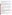*programs,* Objective 1.5.3: Reduce Greenhouse Gas Emissions: *By 2012, 15 MMTCE will be reduced in the transportation sector.* 

This project supports EPA's efforts to develop advanced clean and fuel-efficient technology for a wide range of societal benefits including reducing our national dependence on imported oil, conserving capital for domestic economy and reducing carbon dioxide and greenhouse gas emissions. For more information on EPA's Strategic Plan, go to http://www.epa.gov/ocfo/plan/plan.htm.

## *2. Outcomes*

The term "outcome" means the result, effect or consequence that will occur from carrying out an environmental program or activity that is related to an environmental or programmatic goal or objective. Outcomes may be environmental, behavioral, health-related, or programmatic in nature, but must be quantitative. They may not necessarily be achievable within an assistance agreement funding period.

Projects to be funded under this announcement are expected to produce at least one, and preferably all, of the following environmental outcomes: increasing fuel efficiency and reducing emissions in its hybrid vehicles to continue improving and demonstrating advanced hydraulic hybrid vehicle technology to meet Clean Air Act (CAA) emission standards and climate program goals.

# *3. Outputs*

The term "output" means an environmental activity, effort, and/or associated work product related to an environmental goal and objective that will be produced or provided over a period of time or by a specified date. Outputs may be quantitative or qualitative but must be measurable during an assistance agreement funding period.

Project outputs should aim for a refinement of existing, and identification of new hydraulic hybrid components and systems needed to achieve ultra clean and efficient hybrid vehicles as well as expand the fundamental scientific\engineering understanding and increase the undergraduate and graduate engineering human capital in areas of interest to the program.

### **D. Supplementary Information**

The statutory authority for this action is Clean Air Act, Section 103 (b)(3) which authorizes the award of grants for research, investigation, experiments, demonstrations, surveys and studies related to the causes, effects, extent, prevention and control of air pollution.

*Demonstrations* must involve new or experimental technologies, methods, or approaches, where the results of the project will be disseminated so that others can benefit from the knowledge gained in the demonstration project. A project that is accomplished through the performance of routine, traditional, or established practices, or a project that is simply intended to carry out a task rather than transfer information or advance the state of knowledge, however worthwhile the project might be, is not considered a demonstration project. Implementation activities are not eligible for funding under this announcement.

# **SECTION II – AWARD INFORMATION**

# **A. What is the amount of available funding?**

The total estimated funding for this competitive opportunity shall not exceed \$1,350,000. In FY2009, total funding shall not exceed \$450,000. The cooperative agreements will be funded incrementally. Additional funds may be added in each subsequent year of the agreement, subject to satisfactory performance and the availability of funds.

# **B. How many cooperative agreements will EPA award in this competition?**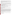EPA anticipates award of approximately two to five cooperative agreements, whose total value shall not exceed \$1,350,000, subject to the availability of funds and quality of evaluated applications. In addition, EPA reserves the right to make additional awards under this announcement, consistent with Agency policy, if additional funding becomes available after the original selections. Any additional selections for awards will be made no later than six months from the date of original selection date.

# **C. Funding Type**

The funding for selected projects will be in the form of a cooperative agreement. Cooperative agreements permit substantial involvement between the EPA Project Officer and the selected applicants in the performance of the work supported. Although EPA will negotiate precise terms and conditions relating to substantial involvement as part of the award process, the anticipated substantial Federal involvement for this project will be:

- 1. close monitoring of the successful applicant's performance to verify the results proposed by the applicant;
- 2. collaboration during performance of the scope of work;
- 3. quarterly technical discussions to determine if the best direction and sources of information on the latest efficient technologies are being utilized;
- 4. in accordance with 40 CFR 31.36(g), review of proposed procurement;
- 5. approving qualifications of key personnel (EPA will not select employees or contractors employed by the award recipient);
- 6. review and comment on reports prepared under the cooperative agreement (the final decision on the content of reports rests with the recipient)

# **D. What is the project period for awards resulting from this solicitation?**

The estimated project period for awards resulting from this solicitation is August 1, 2009 through July 31, 2012. All projects must be completed within the negotiated project performance period of one to three years.

# **SECTION III – ELIGIBILITY INFORMATION**

# **A. Eligible Entities**

In accordance with CFDA 66.034, applications will be accepted from states, local governments, territories, Indian Tribes, and possessions of the U.S., including the District of Columbia, international organizations, public and private universities and colleges, hospitals, laboratories, other public or private nonprofit institutions.

Non-profit organization, as defined by OMB Circular A-122, means any corporation, trust, association, cooperative, or other organization which: (1) is operated primarily for scientific, educational, service, charitable, or similar purposes in the public interest; (2) is not organized primarily for profit; and (3) uses its net proceeds to maintain, improve, and/or expand its operations. For this purpose, the term "non-profit organization" excludes (i) colleges and universities; (ii) hospitals; (iii) state, local, and federally-recognized Indian tribal governments; and (iv) those non-profit organizations which are excluded from coverage of this Circular in accordance with paragraph 5 of the Circular.

Non-profit organizations described in Section 501(c)(4) of the Internal Revenue Code that engage in lobbying activities as defined in Section 3 of the Lobbying Disclosure Act of 1995 are not eligible to apply.

# **B. Cost-Sharing or Matching**

Cost sharing or matching is not required as a condition of eligibility, or otherwise, for proposals selected for award.

# **C. Threshold Eligibility Criteria**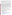These are requirements that if not met by the time of application submission will result in elimination of the application from consideration for funding. Only applications from eligible entities (see above) that meet the entire criteria will be evaluated against the ranking factors in Section V of this announcement. Applicants deemed ineligible for funding consideration as a result of the threshold eligibility review will be notified within 15 calendar days of the ineligibility determination.

1. a. Applications must substantially comply with the application submission instructions and requirements set forth in Section IV of this announcement or else they will be rejected. However, where a page limit is expressed in Section IV with respect to the application, pages in excess of the page limitation will not be reviewed.

b. In addition, applications must be received by the EPA or received through http://www.grants.gov/ as specified in Section IV of this announcement, on or before the application submission deadline published in Section IV of this announcement. Applicants are responsible for ensuring that their application reaches the designated person/office specified in Section IV of the announcement by the submission deadline.

c. Applications received after the submission deadline will be considered late and returned to the sender without further consideration unless the applicant can clearly demonstrate that it was late due to EPA mishandling or because of technical problems solely attributable to grants.gov and not the applicant. For hard copy submissions, where Section IV requires application receipt by a specific person/office by the submission deadline, receipt by an agency mailroom is not sufficient. Applicants should confirm receipt of their application with Kimberly Derksen as soon as possible after the submission deadline—failure to do so may result in your application not being reviewed.

- 2. Applications must support Goal 1: **Clean Air and Global Climate Change,** *"Protect and improve the air so it is healthy to breathe and risks to human health and the environment are reduced.* Objective 1.5: Reduce Greenhouse Gas Emissions, *By 2012, 160 million metric tons of carbon equivalent (MMTCE) of emissions*  will be reduced through EPA's voluntary climate protection programs. Objective 1.5.3: Reduce Greenhouse Gas Emissions: *By 2012, 15 MMTCE will be reduced in the transportation sector.*
- 3. Applications must address in their narrative proposals one or more of the project categories listed in Part 2 of Section I, Scope of Work of this announcement.
- 4. Applications must address in their narrative proposals a plan for establishing a merit-based selection criteria for identifying qualified graduate students to pursue research in these areas.
- 5. Recipients will be required to spend extended periods of time at NVFEL, site of the hydraulic hybrid "demonstration" vehicles and EPA's advanced engine development activities, to integrate improvements developed by the recipients for collaboration with EPA.
- 6. Hard copy applications will only be accepted by mail (via an express delivery service or by US postal mail)**.**  EPA will not accept applications submitted via fax or email.

# **SECTION IV – APPLICATION AND SUBMISSION INFORMATION**

# **A. How to Obtain Application Package**

EPA encourages applicants to obtain application materials and apply electronically through http://www.grants.gov.

http://www.epa.gov/ogd/AppKit/application.htm Applicants may also download individual grant application forms from EPA's Office of Grants and Debarment website at: http://www.epa.gov/ogd/grants/how\_to\_apply.htm or

To obtain a hard copy of materials, please send an email or written request to the Agency contact listed in Section VII of this announcement.

# **B. Mode of Application Submission**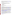Applicants have the option to submit their applications in *one of two ways*: 1) Hard copy via mail (express delivery or U.S. Postal Service), or 2) electronically via http://www.grants.gov/ . Applications will not be accepted via email or fax. All applications must be prepared, and include the information as described in Section IV.C., regardless of mode of transmission.

#### **1. Hard Copy Submission**

Please provide two hard copy application packages (one original) including signed and completed SF 424 and SF 424A forms) and four copies as described in Section IV.C below.

#### **Hard Copy via Express Delivery (FedEx, UPS, DHL, etc.) or U.S. Postal Service**

U.S. Environmental Protection Agency ATTN: Kimberly Derksen OAR/OTAQ 2565 Plymouth Rd. Ann Arbor, MI 48105

#### **Hard Copy Application Submission Deadline**

All hard copies of application packages must be received by Kimberly Derksen by December 15, 2008, 4:00 p.m., EST.

#### **2. Grants.gov Submission**

as soon as possible. Your organization's AOR (Authorized Representative) *must* submit your complete application package as described below, electronically to EPA through Grants.gov (www.grants.gov) no later than **11:59 p.m. EST on December 15, 2008.** The electronic submission of your application must be made by an official representative of your institution who is registered with Grants.gov and is authorized to sign applications for Federal assistance. For more information, go to www.grants.gov and click on "Get Registered" on the left side of the page. The r**egistration process may take a week or longer to complete***.* If not already registered, we encourage your organization to begin the registration process

To begin the application process under this grant announcement, go to www.grants.gov and click on the "Apply for Grants" tab on the left side of the page. Then click on "Apply Step 1: Download a Grant Application Package" to download the compatible Adobe viewer and obtain the application package. **To apply through grants.gov you must use Adobe Reader applications and download the compatible Adobe Reader version (Adobe Reader applications are available to download for free on the Grants.gov website. For more information on Adobe Reader please visit the Help section on grants.gov at** www.grants.gov/help/help.jsp or www.grants.gov/aboutgrants/program\_status.jsp).

use the Browse by Agency feature to find EPA opportunities). Once you have downloaded the viewer, you may retrieve the application package by entering the Funding Opportunity Number, **EPA-OAR-OTAQ-08-09**, or the CFDA number that applies to the announcement (CFDA 66.034), in the appropriate field. You may also be able to access the application package by clicking on the Application button at the top right of the synopsis page for this announcement on www.grants.gov (to find the synopsis page, go to www.grants.gov and click on the "Find Grant Opportunities" button on the left side of the page and then go to Search Opportunities and

If you have any questions regarding Grants.gov, please email the Grants.gov Contact Center at support@grants.gov or call 1-800-518-4726.

#### **Application Materials**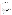An application package *must* include all Grant Application Forms (as listed below) and a comprehensive Narrative Proposal (as described in section IV.C of the announcement):

#### **Grant Application Forms**

- Standard Form 424, *Application for Federal Assistance*
- • Standard Form 424A, *Budget Information Non-Construction Programs*
- • Standard Form 424B, *Non-Construction Programs*
- • Standard Form LLL, *Pre-Award Disclosure of Lobbying Activities*
- EPA Form 4700-4, *Pre-Award Compliance Review Report for All Applicants Requesting Federal Financial Assistance*
- EPA Form 5700-54, *Key Contacts Form*

#### **Narrative Proposal**

The narrative proposal should be readable in Adobe Acrobat PDF for Windows and consolidated into a single file and be prepared in accordance with Section IV.C of the announcement.

The **Grant Application Forms** listed above listed under Application Materials should appear in the "Mandatory Documents" box on the http://www.grants.gov/ "Grant Application Package" page. Click on the appropriate forms and then click "Open Form" below the box. The fields that must be completed will be highlighted in yellow. Optional fields and completed fields will be displayed in white. If you enter an invalid response or incomplete information in a field, you will receive an error message. When you have finished filling out each form, click "Save." When you return to the electronic "Grant Application Package" page, click on the form you just completed, and then click on the box that says, "Move Form to Submission List." This action will move the document over to the box that says, "Mandatory Completed Documents for Submission."

The **Narrative Proposal**, will require attachment of electronic files. Prepare your narrative proposal as described in Section IV.C of this announcement and save the document(s) to your computer as a PDF file. When you are ready to attach your narrative proposal to the "grant application package", click on "Project Narrative Attachment Form," and open the form. Click "Add Mandatory Project Narrative File," and then attach your narrative proposal (previously saved to your computer) using the browse window that appears. You may then click "View Mandatory Project Narrative File" to view it. Enter a brief descriptive title of your project in the space beside "Mandatory Project Narrative File Filename;" the file name should be no more than 40 characters long. If there other attachments that you would like to submit to accompany your application, you may click "Add Optional Project Narrative File" and proceed as before. When you have finished attaching the necessary documents, click "Close Form." When you return to the "Grant Application Package" page, select the "Project Narrative Attachment Form" and click "Move Form to Submission List." The form should now appear in the box that says, "Mandatory Completed Documents for Submission."

Once your entire application package (signed grant application forms and a complete narrative proposal) has been saved, send it to your Authorized Representative (AOR) for submission to U.S. EPA via www.grants.gov. Please advise your AOR to close all other software programs before attempting to submit the application package through grants.gov.

In the "Application Filing Name" box, your AOR should enter your organization's name (abbreviate where possible), the fiscal year (e.g., FY09), and the grant category (e.g., Assoc Prog Supp). The filing name should not exceed 40 characters. From the "Grant Application Package" page, your AOR may submit the application package by clicking the "Submit" button that appears at the top of the page. The AOR will then be asked to verify the agency and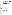funding opportunity number for which the application package is being submitted. If problems are encountered during the submission process, the AOR should reboot their computer before trying to submit the application package again. [It may be necessary to turn off the computer (not just restart it) before attempting to submit the package again.] **If the AOR continues to experience submission problems, they may contact grants.gov for assistance by phone at 1-800-518-4726** or email at www.grants.gov/help/help.jsp.

Application packages submitted via www.grants.gov will be time/date stamped electronically.

## **C. Content of Application Package Submission**

All application submissions, regardless of mode of submission, must contain completed and signed application forms, as well as a Narrative Proposal, as described below.

**Grant Application Forms.** Please be sure to include organization fax number and email address in Block 5 of the Standard Form SF 424. The forms are available at http://www.epa.gov/ogd/forms/forms.htm.

- • Standard Form 424, *Application for Federal Assistance*
- • Standard Form 424A, *Budget Information Non-Construction Programs*
- Standard Form 424B, *Non-Construction Programs*
- • Standard Form LLL, *Pre-Award Disclosure of Lobbying Activities*
- EPA Form 4700-4, *Pre-Award Compliance Review Report for All Applicants Requesting Federal Financial Assistance*
- • EPA Form 5700-54, *Key Contacts Form*

#### **Narrative Proposal**

The narrative proposal must be limited to no more than twenty-four (24) typewritten *double-spaced* 8.5 x 11 inch pages (a page is one side of paper). Pages should be consecutively numbered for ease of reading. It is recommended that applicants use a standard 12-point type with 1-inch margins. While these guidelines establish the minimum type size recommended, applicants are advised that readability is of paramount importance and should take precedence in selection of an appropriate font for use in the proposal narrative. Additional pages beyond the 24 page limit will not be considered.

- **1. Cover Page** (not counted in page limit)
	- a. Project title
	- b. Name of applicant;
	- c. List of all potential partners associated with the project;
	- d. Key personnel and contact information (i.e., e-mail address and phone number);
	- e. Total project cost and federal dollars requested; and
	- f. Abstract/project summary: Provide a brief description of the proposed project.

### **2. Narrative Proposal**

The Narrative Proposal must explicitly describe how the proposed project meets the guidelines established in Sections I-III (including the threshold eligibility criteria in Section III.C) of this announcement, and must address each of the evaluation criteria set forth in Section V.

- a. Detailed project summary, description of specific actions and methods to be undertaken and the responsible institutions, including estimated time line for each task;
- b. A selection criteria plan for selecting qualified graduate students the opportunity to conduct their program research in partnership with EPA's Ann Arbor National Laboratory.
- c. Description of the associated work products to be developed (e.g. partnership agreements, if any);
- d. An explanation of project benefits to the public;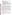- e. An explanation of how project outcomes (e.g., fuel economy and emissions benefits) will be designed for reinvestment;
- f. A detailed explanation of how project success will be evaluated; *(Refer to Section V(A), Evaluation Criteria, "Performance Measurement.")*
- g. A description of the roles of the applicant and partners, if any;
- h. Concise biographical information on key personnel identified;
- i. Description of applicant's organization and experience related to this project;
- j. Plan for timely and successful achievement of project objectives;
- k. Description of staff expertise/qualifications, staff knowledge, and resources or the ability to obtain them, to successfully achieve the goals of the project;
- l. Project Milestone schedule detailing a projected timeline for the proposed project period (up to three years for the cooperative agreement and one to three years for the subgrants). The project start date will follow acceptance of the award by the successful applicant. The timeline should show timeframes and major milestones to complete significant project tasks including, but not limited to, major annual outreach activities, release of the subgrant RFA, and the approximate time of award of the subgrants.
- m. Established Baseline for Measurement Describe what baseline will be used to determine whether the project resulted in environmental improvement (i.e., current condition).

## **3. Detailed Budget Narrative**

Provide a detailed budget and estimated funding amounts for each project component/task. Include necessary resources for students to travel and perform project research at the NVFEL in Ann Arbor, MI. Also include any travel for applicant staff to attend meetings throughout the proposed project period to promote "Excellence in Engineering through Hybrid Technology" or to increase subgrantee applications. Describe each item in sufficient detail for EPA to determine the reasonableness and allowability of costs. This section provides an opportunity for narrative description of the budget or aspects of the budget found in Standard Form 424A such as "other" and "contractual". (All subgrant funding should be located under the "other" cost category.)Total costs should include both federal and any cost share/match (non-federal) components.

Management Fees: When formulating budgets for proposals/applications, applicants must not include management fees or similar charges in excess of the direct costs and indirect costs at the rate approved by the applicants cognizant audit agency, or at the rate provided for by the terms of the agreement negotiated with EPA. The term "management fees or similar charges" refers to expenses added to the direct costs in order to accumulate and reserve funds for ongoing business expenses, unforeseen liabilities, or for other similar costs that are not allowable under EPA assistance agreements. Management fees or similar charges may not be used to improve or expand the project funded under this agreement, except to the extent authorized as a direct cost of carrying out the scope of work.

#### **negotiated with a federal cognizant agency. \*Selected applicant(s) will need to submit a copy of their current indirect cost rate that has been**

### **4. Environmental Results—Outcomes and Outputs**

Identify the expected quantitative and qualitative outcomes and environmental improvements to be accomplished as a result of this project **(See Section I)**, including what measurements will be used to track your progress towards achieving the outcomes and how the results of the project will be evaluated.

Identify the expected project outputs (products/results) which are expected to be achieved from accomplishment of the project and an approach for measuring and tracking your progress toward achieving the expected project output(s)

# **5. Past Performance**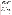**I. Programmatic Capability:** Submit a list of federally funded assistance agreements **(assistance agreements include Federal grants and cooperative agreements but not Federal contracts)** similar in size, scope and relevance to the proposed project that your organization performed within the last three years (no more than 5, and preferably EPA agreements) and describe (i) whether, and how, you were able to successfully complete and manage those agreements and (ii) your history of meeting the reporting requirements under those agreements including submitting acceptable final technical reports.

\*In evaluating applicants under these factors in Section V, EPA will consider the information provided by the applicant and may also consider relevant information from other sources, including information from EPA files and from current and prior Federal agency grantors (e.g., to verify and/or supplement the information provided by the applicant). If you do not have any relevant or available past performance or reporting information, please indicate this in the narrative proposal and you will receive a neutral score for these factors under Section V. If you do not provide any response for these items, you may receive a score of 0 for these factors.

**II. Reporting on Environmental Results--Outcomes and Outputs:** Submit a list of federally funded assistance agreements **(assistance agreements include Federal grants and cooperative agreements but not Federal contracts)** that your organization performed within the last three years (no more than 5, and preferably EPA agreements**),** and describe how you documented and/or reported on whether you were making progress towards achieving the expected results (e.g., outputs and outcomes) under those agreements. If you were not making progress, please indicate whether, and how, you documented why not.

\*In evaluating applicants under this factor in Section V, EPA will consider the information provided by the applicant and may also consider relevant information from other sources, including information from EPA files and from current and prior Federal agency grantors (e.g., to verify and/or supplement the information provided by the applicant). If you do not have any relevant or available environmental results past performance information, please indicate this in the narrative proposal and you will receive a neutral score for this factor under Section V. If you do not provide any response for these items, you may receive a score of 0 for these factors.

#### **D. Can funding be used for the applicant to make subawards, acquire contract services, or fund partnerships?**

Funding may be used to provide subgrants or subawards of financial assistance, which includes using subawards or subgrants to fund partnerships, provided the recipient complies with applicable requirements for subawards or subgrants including those contained in 40 CFR Part 30 or 31, as appropriate. Applicants must compete contracts for services and products, including consultant contracts, and conduct cost and price analyses, to the extent required by the procurement provisions of the regulations at 40 CFR Part 30 or 31, as appropriate. The regulations also contain limitations on consultant compensation. Applicants are not required to identify subawardees/subgrantees and/or contractors (including consultants) in their proposal. However, if they do, the fact that an applicant selected for award has named a specific subawardee/subgrantee, contractor, or consultant in the proposal EPA selects for funding does not relieve the applicant of its obligations to comply with subaward/subgrant and/or competitive procurement requirements as appropriate. Please note that applicants may not award sole source contracts to consulting, engineering or other firms assisting applicants with the proposal solely based on the firm's role in preparing the proposal.

Successful applicants cannot use subgrants or subawards to avoid requirements in EPA grant regulations for competitive procurement by using these instruments to acquire commercial services or products from for-profit organizations to carry out its assistance agreement. The nature of the transaction between the recipient and the subawardee or subgrantee must be consistent with the standards for distinguishing between vendor transactions and subrecipient assistance under Subpart B Section .210 of OMB Circular A-133, and the definitions of subaward at 40 CFR 30.2(ff) or subgrant at 40 CFR 31.3, as applicable. EPA will not be a party to these transactions. Applicants acquiring commercial goods or services must comply with the competitive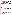procurement standards in 40 CFR Part 30 or 40 CFR 31.36 and cannot use a subaward/subgrant as the funding mechanism.

#### **E. How will an applicant's proposed subawardees/subgrantees and contractors be considered during the evaluation process described in Section V of the announcement?**

appropriate and relevant, the qualifications, expertise, and experience of: Section V of the announcement describes the evaluation criteria and evaluation process that will be used by EPA to make selections under this announcement. During this evaluation, except for those criteria that relate to the applicant's own qualifications, past performance, and reporting history, the review panel will consider, if

(i) an applicant's named subawardees/subgrantees identified in the proposal/application if the applicant demonstrates in the proposal/application that if it receives an award that the subaward/subgrant will be properly awarded consistent with the applicable regulations in 40 CFR Parts 30 or 31. For example, applicants must not use subawards/subgrants to obtain commercial services or products from for profit firms or individual consultants.

(ii) an applicant's named contractor(s), including consultants, identified in the proposal/application if the applicant demonstrates in its proposal/application that the contractor(s) was selected in compliance with the competitive Procurement Standards in 40 CFR Part 30 or 40 CFR 31.36 as appropriate. For example, an applicant must demonstrate that it selected the contractor(s) competitively or that a proper non-competitive sole-source award consistent with the regulations will be made to the contractor(s), that efforts were made to provide small and disadvantaged businesses with opportunities to compete, and that some form of cost or price analysis was conducted. EPA may not accept sole source justifications for contracts for services or products that are otherwise readily available in the commercial marketplace.

EPA will not consider the qualifications, experience, and expertise of named subawardees/subgrantees and/or named contractor(s) during the proposal/application evaluation process unless the applicant complies with these requirements.

### **F. Submission Dates and Times**

- 1. To allow for efficient management of the competitive process, EPA requests eligible entities submit an informal notice of **"Intent to Apply"** by **November 21, 2008**, to the agency contact identified under *Section VII, Agency Contact.* Submission of an "Intent to Apply" is optional; it is a process management tool that will allow EPA to better anticipate the total staff time required for efficient review, evaluation, and selection of submitted proposals. Eligible entities not submitting an "Intent to Apply" are still eligible to apply by the closing date and time. The written notice of "Intent to Apply" may be submitted via electronic mail to derksen.kimberly@epa.gov. Please provide the name of your organization, a point of contact, phone number, email address, and the title of your project.
- 2. Completed **Application submissions sent by hard copy with CD** must be received by the Agency Contact identified in Section IV.B.1 by **4:00 PM EST on December 15, 2008**. Applications submitted electronically via Grants.gov, http://www.grants.gov/, must be submitted by 11:59 P.M December 15, **2008**. Applications received after the closing date and time will not be considered for funding.

### **G. Confidential Business Information**

In accordance with 40 CFR 2.203, applicants may claim all or a portion of their application package as confidential business information. EPA will evaluate confidential claims in accordance with 40 CFR Part 2. Applicants must clearly mark applications or portions of applications they claim as confidential. If no claim of confidentiality is made, EPA is not required to make the inquiry to the applicant otherwise required by 40 CFR 2.204 (c) (2) prior to disclosure. Note that under Public Law No. 105-277, data produced under an award is subject to the Freedom of Information Act.

### **H. Pre-Application Assistance and Communications**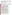In accordance with EPA's Assistance Agreement Competition Policy (EPA Order 5700.5A1), EPA staff will not meet with individual applicants to discuss draft application packages, provide informal comments on draft narrative proposals, or provide advice to applicants on how to respond to ranking criteria. Applicants are responsible for the contents of their applications. However, EPA will respond to questions in writing from individual applicants regarding threshold eligibility criteria, administrative issues related to the submission of the application, and requests for clarification about the announcement.

# **SECTION V – APPLICATION REVIEW INFORMATION**

# **A. Evaluation Criteria**

Only eligible entities whose application(s) meet the threshold criteria in Section III of this announcement will be reviewed according to the evaluation criteria set forth below. Applicants that directly and explicitly address the evaluation criteria below will have a greater likelihood of being selected for award. Each application will be rated under a points system, with a total of 100 points possible.

| <b>Criteria</b>                                                                                                                                                                                                                                               | <b>Maximum Points</b><br><b>Per Criterion</b> |
|---------------------------------------------------------------------------------------------------------------------------------------------------------------------------------------------------------------------------------------------------------------|-----------------------------------------------|
| 1. Project Summary/Approach: Under this criterion, the Agency will evaluate the<br>following factors: (i) (10 pts) the extent and quality to which the narrative proposal<br>includes a well-conceived strategy for project collaboration with EPA to further | 20                                            |
| optimize Hydraulic Hybrid Vehicle (HHV) technology in expanding the fundamental                                                                                                                                                                               |                                               |
| scientific\engineering understanding and increasing the graduate engineering<br>technology projects while addressing all the requirements in Section I, Part B                                                                                                |                                               |
| (Scope of Work) and Part C (EPA Strategic Plan Linkage and Anticipated                                                                                                                                                                                        |                                               |
| <b>Outcomes/Outputs), (ii) (5 pts)</b> the extent and quality to which the proposal's<br>goals are realistic and will be actually implemented by project end, (iii) (5 pts)                                                                                   |                                               |
| whether the proposal sets forth a reasonable time schedule for the execution of the                                                                                                                                                                           |                                               |
| tasks associated with the project(s).<br>2. Environmental Results-Outcomes and Outputs: Under this criterion, the                                                                                                                                             | 15                                            |
| Agency will evaluate the effectiveness of the applicant's, (i) (10 pts) plan for                                                                                                                                                                              |                                               |
| tracking and measuring its progress toward achieving expected project outputs and<br>outcomes, including those identified in Section I of this announcement, and (ii) (5                                                                                      |                                               |
| pts) a description of design concept(s) for improving vehicle fuel economy and                                                                                                                                                                                |                                               |
| reducing gas emissions with planning of the process to produce data/results<br>demonstrating the effectiveness of the design concept(s).                                                                                                                      |                                               |
| 3. Programmatic Capability and Reporting on Environmental Results: Under                                                                                                                                                                                      | 25                                            |
| this criterion, the Agency will evaluate the applicant's technical ability to                                                                                                                                                                                 |                                               |
| successfully complete and manage the proposed project taking into account the<br>applicants: (i) (9 pts) past performance in successfully completing and managing                                                                                             |                                               |
| federally funded assistance agreements (assistance agreements include Federal                                                                                                                                                                                 |                                               |
| grants and cooperative agreements but not Federal contracts) similar in size,                                                                                                                                                                                 |                                               |
| scope, and relevance to the proposed project performed within the last 3 years, (ii)<br>(8 pts) history of meeting reporting requirements on federally funded assistance                                                                                      |                                               |
| agreements (assistance agreements include Federal grants and cooperative                                                                                                                                                                                      |                                               |
| agreements but not Federal contracts) similar in size, scope, and relevance to                                                                                                                                                                                |                                               |
| the proposed project performed within the last 3 years and submitting acceptable                                                                                                                                                                              |                                               |
| final technical reports under those agreements, and (iii) (8 pts) past performance in<br>documenting and/or reporting on progress towards achieving the expected                                                                                              |                                               |
| outcomes and outputs (e.g., results) under federally funded assistance agreements                                                                                                                                                                             |                                               |
| (assistance agreements include Federal grants and cooperative agreements                                                                                                                                                                                      |                                               |
| but not Federal contracts) similar in size, scope and relevance to the proposed                                                                                                                                                                               |                                               |
| project within the last 3 years; and, if such progress was not made whether the<br>documentation and/or reports satisfactorily explained why not.                                                                                                             |                                               |
| NOTE: In evaluating applicants under this criterion, the Agency will consider the<br>information provided by the applicant and may also consider relevant information                                                                                         |                                               |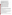| from other sources including agency files and prior/current grantors (e.g., to verify<br>and/or supplement the information supplied by the applicant). Applicants with no<br>relevant or available past performance or reporting history will receive a neutral<br>score for those elements under this criterion. A neutral score is half of the total<br>points available in a subset of possible points. If you do not provide any response                                                                                                                                                                                                            |    |
|----------------------------------------------------------------------------------------------------------------------------------------------------------------------------------------------------------------------------------------------------------------------------------------------------------------------------------------------------------------------------------------------------------------------------------------------------------------------------------------------------------------------------------------------------------------------------------------------------------------------------------------------------------|----|
| for these items, you may receive a score of 0 for these factors.                                                                                                                                                                                                                                                                                                                                                                                                                                                                                                                                                                                         |    |
| 4. Staff Expertise/Qualifications: Under this criterion, the Agency will evaluate<br>the (i) (5 pts) description of staff expertise/qualifications and extent in managing<br>similar programs, staff knowledge, and resources or the ability to obtain them, to<br>successfully achieve the goals of the proposed project, (ii) (5 pts) description of the<br>applicant's organization and experience relating to the proposed project, (iii) (5 pts)<br>and applicant's selection criteria plan for selecting qualified graduate students the<br>opportunity to conduct their program research in partnership with the EPA's NVFEL<br>in Ann Arbor, MI. | 15 |
| 5. Budget/Resources: Under this criterion, the Agency will consider whether the<br>budget is clearly stated, detailed, and appropriate to achieve the project's objectives<br>(i) (5 pts) Whether the proposed project budget is appropriate to accomplish the<br>proposed goals, objectives, and measurable environmental outcomes, (ii) (5 pts)<br>whether the budget provides an approximation of the percentage of the budget<br>designated for each major activity, and (iii) (5 pts) whether the budget provides<br>resources available for students to travel and perform project research at the<br>NVFEL in Ann Arbor, MI.                      | 15 |
| 6. Location: Under this criterion, the Agency will evaluate the following factor: (i)<br>(10 pts) the extent to which the applicant's physical location will affect its ability to<br>successfully achieve the objectives of this announcement, specifically spending<br>extended periods of time at NVFEL, site of the hydraulic hybrid "demonstration"<br>vehicles and EPA's advanced engine development activities, as described in<br>Section I.                                                                                                                                                                                                     | 10 |

# **B. Other Factors**

EPA reserves the right to make award decisions based on factors that help ensure geographic equity and demonstration of a variety of technical approaches. In addition, EPA reserves the right to make additional awards under this announcement, consistent with Agency policy, if additional funding becomes available after the original selections. Any additional selections for awards will be made no later than six months from the date of original selection date. Once final decisions have been made, a funding recommendation will be developed and forwarded to the EPA Award Official.

# **C. Review and Selection Process**

Applications will first be evaluated against threshold factors listed in Section III. Each application which meet all the threshold factors will be evaluated by a team chosen to address the range of activities associated with hydraulic hybrid vehicle technology developments and air quality. Each application will be given a numerical score and will be rank-ordered according to the numerical score.

Preliminary funding recommendations will be provided to a Selection Committee based on this ranking. The highest numerically-ranked proposal(s) (subject to the quality of proposals, availability of funds, and consideration of *Section V(B), Other Factors*) will be recommended for award.

# **SECTION VI – AWARD ADMINISTRATION INFORMATION**

# **A. Award Notices**

Following final selections, EPA anticipates notification of successful and unsuccessful applicants by January 15, 2009. This notice will not be an authorization to begin performance. The EPA Grant Award Officer is the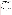only official that can bind the Agency to the expenditure of funds for selected projects resulting from this announcement.

EPA reserves the right to negotiate and/or adjust the final grant amount and workplan prior to award, as appropriate and consistent with Agency policy, including EPA's Competition Policy (EPA Order 5700.5A1). An approvable final workplan is required to include:

- 1. Workplan components to be funded under the assistance agreement;
- 2. Estimated work years and the estimated funding amounts for each workplan component;
- 3. Workplan commitments for each workplan component and a timeframe for their accomplishment;
- 4. Performance evaluation process and reporting schedule; and
- 5. Roles and responsibilities of the recipient and EPA (for cooperative agreements only) in carrying out the workplan commitments.

In addition, the successful applicant and their partners will be required to certify that they have not been Debarred or Suspended from participation in federal assistance awards in accordance with 40 CFR Part 32.

# **B. Administrative and National Policy Requirements**

A listing and description of general EPA Regulations applicable to the award of assistance agreements may be viewed at: http://www.epa.gov/ogd/AppKit/applicable\_epa\_regulations\_and\_description.htm.

Executive Order 12372, Intergovernmental Review of Federal Programs may be applicable to awards, resulting from this announcement. Applicants selected for funding may be required to provide a copy of their application to their [State Point of Contact](http://www.whitehouse.gov/omb/grants/spoc.html) (SPOC) for review, pursuant to Executive Order 12372, Intergovernmental Review of Federal Programs. This review is not required with the Initial Application and not all states require such a review.

# **C. DUNS Number**

All applicants **are required** to provide a Dun and Bradstreet (D&B) Data Universal Numbering System (DUNS) number when applying for a Federal grant or cooperative agreement. Applicants can receive a DUNS number, at no cost, by calling the dedicated toll-free DUNS Number request line at 1-866-705-5711, or visiting the D&B website at: http://www.dnb.com.

# **D. Reporting Requirement**

Submittal of quarterly progress reports to the EPA Project Officer within thirty days after each reporting period will be required. These reports shall cover work status, work progress, difficulties encountered, preliminary data results and a statement of activity anticipated during the subsequent reporting period, including a description of equipment, techniques, and materials to be used or evaluated. A discussion of expenditures along with a comparison of the percentage of the project completed to the project schedule and an explanation of significant discrepancies shall be included in the report. The report shall also include any changes of key personnel concerned with the project. A detailed final technical report will be required and shall be completed within 90 calendar days of the completion of the period of performance.

# **E. Disputes**

Assistant agreement competition-related disputes will be resolved in accordance with the dispute resolution procedures published in 70 FR (Federal Register) 3629, 3630 (January 26, 2005) located on the web at: http://frwebgate.access.gpo.gov/cgi-bin/getpage.cgi?position=all&page=3629&dbname=2005\_register

# **F. Non-profit Administrative Capability**